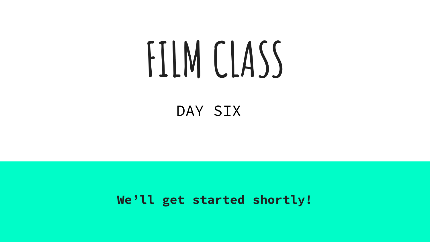# **FILM CLASS**

### DAY SIX

**We'll get started shortly!**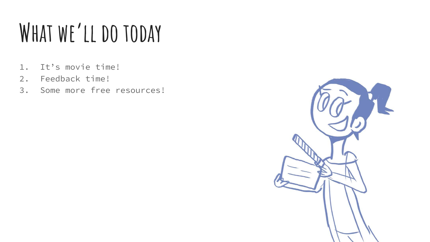### **What we'll do today**

- 1. It's movie time!
- 2. Feedback time!
- 3. Some more free resources!

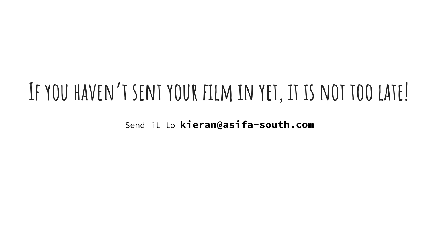### **If you haven't sent your film in yet, it is not too late!**

Send it to **kieran@asifa-south.com**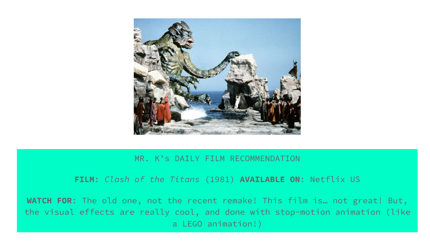

#### MR. K's DAILY FILM RECOMMENDATION

#### **FILM**: *Clash of the Titans* (1981) **AVAILABLE ON**: Netflix US

**WATCH FOR**: The old one, not the recent remake! This film is… not great! But, the visual effects are really cool, and done with stop-motion animation (like a LEGO animation!)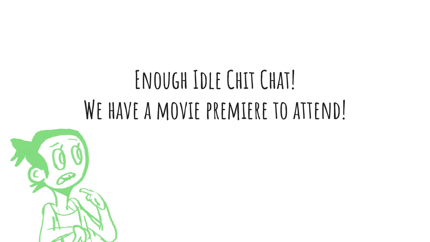# **Enough Idle Chit Chat! We have a movie premiere to attend!**

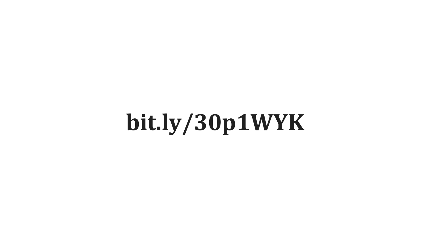# **bit.ly/30p1WYK**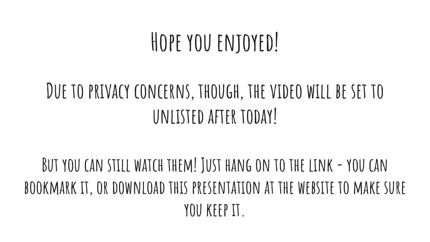### **Hope you enjoyed!**

### **Due to privacy concerns, though, the video will be set to unlisted after today!**

### **But you can still watch them! Just hang on to the link - you can bookmark it, or download this presentation at the website to make sure you keep it.**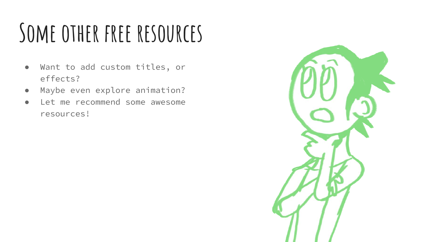# **Some other free resources**

- Want to add custom titles, or effects?
- Maybe even explore animation?
- Let me recommend some awesome resources!

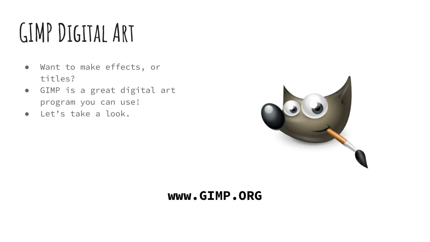# **GIMP Digital Art**

- Want to make effects, or titles?
- GIMP is a great digital art program you can use!
- Let's take a look.



#### **www.GIMP.ORG**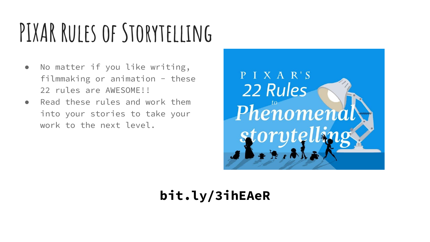# **PIXAR Rules of Storytelling**

- No matter if you like writing, filmmaking or animation  $-$  these 22 rules are AWESOME!!
- Read these rules and work them into your stories to take your work to the next level.



### **bit.ly/3ihEAeR**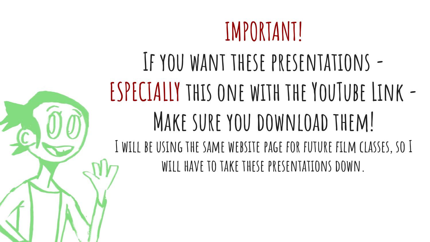### **IMPORTANT!**

### **If you want these presentations - ESPECIALLY this one with the YouTube Link - Make sure you download them! I will be using the same website page for future film classes, so I will have to take these presentations down.**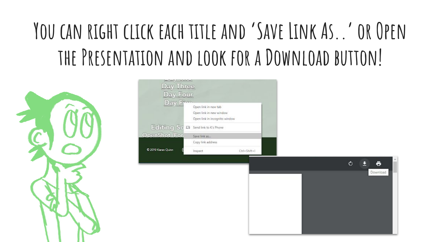### **You can right click each title and 'Save Link As..' or Open the Presentation and look for a Download button!**



| Day Three<br>Day Four<br>Day Fhos | Open link in new tab                                     |                   |  |                                    |
|-----------------------------------|----------------------------------------------------------|-------------------|--|------------------------------------|
|                                   | Open link in new window<br>Open link in incognito window |                   |  |                                    |
|                                   | Eolifing So D send link to K's Phone                     |                   |  |                                    |
| OpenShot (For                     | Save link as                                             | Copy link address |  |                                    |
| C 2019 Kieran Quinn               | Inspect                                                  | Ctrl+Shift+I      |  |                                    |
|                                   |                                                          |                   |  | $\bullet$<br>$\ddot{\bullet}$<br>Ε |
|                                   |                                                          |                   |  | Download                           |
|                                   |                                                          |                   |  |                                    |
|                                   |                                                          |                   |  |                                    |
|                                   |                                                          |                   |  |                                    |
|                                   |                                                          |                   |  |                                    |